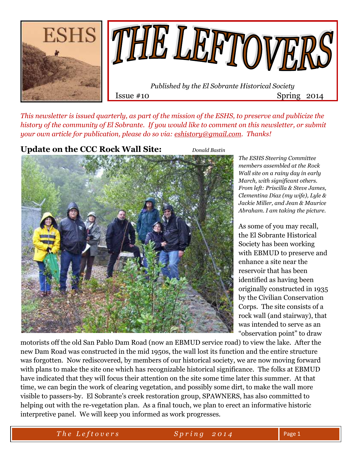



Issue #10 Spring 2014

*This newsletter is issued quarterly, as part of the mission of the ESHS, to preserve and publicize the history of the community of El Sobrante. If you would like to comment on this newsletter, or submit your own article for publication, please do so via: [eshistory@gmail.com.](mailto:eshistory@gmail.com) Thanks!*

## **Update on the CCC Rock Wall Site:** *Donald Bastin*



*The ESHS Steering Committee members assembled at the Rock Wall site on a rainy day in early March, with significant others. From left: Priscilla & Steve James, Clementina Diaz (my wife), Lyle & Jackie Miller, and Jean & Maurice Abraham. I am taking the picture.*

As some of you may recall, the El Sobrante Historical Society has been working with EBMUD to preserve and enhance a site near the reservoir that has been identified as having been originally constructed in 1935 by the Civilian Conservation Corps. The site consists of a rock wall (and stairway), that was intended to serve as an "observation point" to draw

motorists off the old San Pablo Dam Road (now an EBMUD service road) to view the lake. After the new Dam Road was constructed in the mid 1950s, the wall lost its function and the entire structure was forgotten. Now rediscovered, by members of our historical society, we are now moving forward with plans to make the site one which has recognizable historical significance. The folks at EBMUD have indicated that they will focus their attention on the site some time later this summer. At that time, we can begin the work of clearing vegetation, and possibly some dirt, to make the wall more visible to passers-by. El Sobrante's creek restoration group, SPAWNERS, has also committed to helping out with the re-vegetation plan. As a final touch, we plan to erect an informative historic interpretive panel. We will keep you informed as work progresses.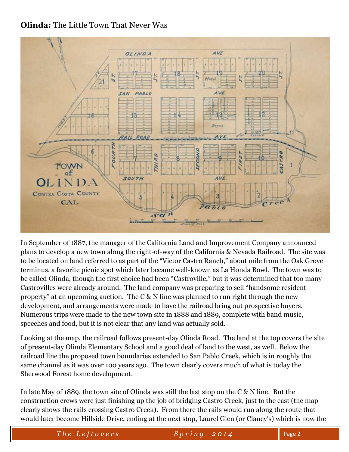# **Olinda:** The Little Town That Never Was



In September of 1887, the manager of the California Land and Improvement Company announced plans to develop a new town along the right-of-way of the California & Nevada Railroad. The site was to be located on land referred to as part of the "Victor Castro Ranch," about mile from the Oak Grove terminus, a favorite picnic spot which later became well-known as La Honda Bowl. The town was to be called Olinda, though the first choice had been "Castroville," but it was determined that too many Castrovilles were already around. The land company was preparing to sell "handsome resident property" at an upcoming auction. The C & N line was planned to run right through the new development, and arrangements were made to have the railroad bring out prospective buyers. Numerous trips were made to the new town site in 1888 and 1889, complete with band music, speeches and food, but it is not clear that any land was actually sold.

Looking at the map, the railroad follows present-day Olinda Road. The land at the top covers the site of present-day Olinda Elementary School and a good deal of land to the west, as well. Below the railroad line the proposed town boundaries extended to San Pablo Creek, which is in roughly the same channel as it was over 100 years ago. The town clearly covers much of what is today the Sherwood Forest home development.

In late May of 1889, the town site of Olinda was still the last stop on the C & N line. But the construction crews were just finishing up the job of bridging Castro Creek, just to the east (the map clearly shows the rails crossing Castro Creek). From there the rails would run along the route that would later become Hillside Drive, ending at the next stop, Laurel Glen (or Clancy's) which is now the

*The Leftovers* Spring 2014 Page 2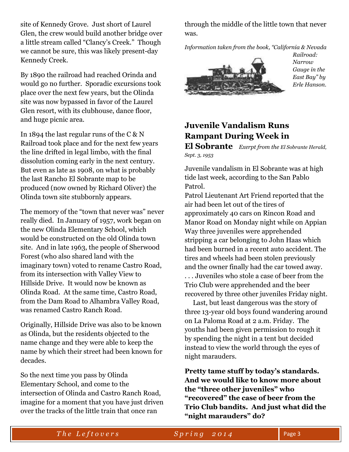site of Kennedy Grove. Just short of Laurel Glen, the crew would build another bridge over a little stream called "Clancy's Creek." Though we cannot be sure, this was likely present-day Kennedy Creek.

By 1890 the railroad had reached Orinda and would go no further. Sporadic excursions took place over the next few years, but the Olinda site was now bypassed in favor of the Laurel Glen resort, with its clubhouse, dance floor, and huge picnic area.

In 1894 the last regular runs of the  $C & N$ Railroad took place and for the next few years the line drifted in legal limbo, with the final dissolution coming early in the next century. But even as late as 1908, on what is probably the last Rancho El Sobrante map to be produced (now owned by Richard Oliver) the Olinda town site stubbornly appears.

The memory of the "town that never was" never really died. In January of 1957, work began on the new Olinda Elementary School, which would be constructed on the old Olinda town site. And in late 1963, the people of Sherwood Forest (who also shared land with the imaginary town) voted to rename Castro Road, from its intersection with Valley View to Hillside Drive. It would now be known as Olinda Road. At the same time, Castro Road, from the Dam Road to Alhambra Valley Road, was renamed Castro Ranch Road.

Originally, Hillside Drive was also to be known as Olinda, but the residents objected to the name change and they were able to keep the name by which their street had been known for decades.

So the next time you pass by Olinda Elementary School, and come to the intersection of Olinda and Castro Ranch Road, imagine for a moment that you have just driven over the tracks of the little train that once ran

through the middle of the little town that never was.

*Information taken from the book, "California & Nevada* 



*Railroad: Narrow Gauge in the East Bay" by Erle Hanson.*

# **Juvenile Vandalism Runs Rampant During Week in**

**El Sobrante** *Exerpt from the El Sobrante Herald, Sept. 3, 1953*

Juvenile vandalism in El Sobrante was at high tide last week, according to the San Pablo Patrol.

Patrol Lieutenant Art Friend reported that the air had been let out of the tires of approximately 40 cars on Rincon Road and Manor Road on Monday night while on Appian Way three juveniles were apprehended stripping a car belonging to John Haas which had been burned in a recent auto accident. The tires and wheels had been stolen previously and the owner finally had the car towed away. . . . Juveniles who stole a case of beer from the Trio Club were apprehended and the beer recovered by three other juveniles Friday night.

 Last, but least dangerous was the story of three 13-year old boys found wandering around on La Paloma Road at 2 a.m. Friday. The youths had been given permission to rough it by spending the night in a tent but decided instead to view the world through the eyes of night marauders.

**Pretty tame stuff by today's standards. And we would like to know more about the "three other juveniles" who "recovered" the case of beer from the Trio Club bandits. And just what did the "night marauders" do?**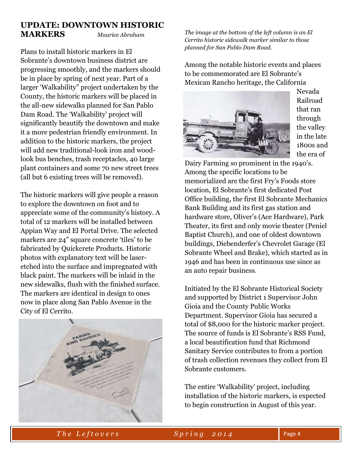## **UPDATE: DOWNTOWN HISTORIC MARKERS** *Maurice Abraham*

Plans to install historic markers in El Sobrante's downtown business district are progressing smoothly, and the markers should be in place by spring of next year. Part of a larger 'Walkability" project undertaken by the County, the historic markers will be placed in the all-new sidewalks planned for San Pablo Dam Road. The 'Walkability' project will significantly beautify the downtown and make it a more pedestrian friendly environment. In addition to the historic markers, the project will add new traditional-look iron and woodlook bus benches, trash receptacles, 40 large plant containers and some 70 new street trees (all but 6 existing trees will be removed).

The historic markers will give people a reason to explore the downtown on foot and to appreciate some of the community's history. A total of 12 markers will be installed between Appian Way and El Portal Drive. The selected markers are 24" square concrete 'tiles' to be fabricated by Quickcrete Products. Historic photos with explanatory text will be laseretched into the surface and impregnated with black paint. The markers will be inlaid in the new sidewalks, flush with the finished surface. The markers are identical in design to ones now in place along San Pablo Avenue in the City of El Cerrito.



*The image at the bottom of the left column is an El Cerrito historic sidewalk marker similar to those planned for San Pablo Dam Road.*

Among the notable historic events and places to be commemorated are El Sobrante's Mexican Rancho heritage, the California



Nevada Railroad that ran through the valley in the late 1800s and the era of

Dairy Farming so prominent in the 1940's. Among the specific locations to be memorialized are the first Fry's Foods store location, El Sobrante's first dedicated Post Office building, the first El Sobrante Mechanics Bank Building and its first gas station and hardware store, Oliver's (Ace Hardware), Park Theater, its first and only movie theater (Peniel Baptist Church), and one of oldest downtown buildings, Diebenderfer's Chevrolet Garage (El Sobrante Wheel and Brake), which started as in 1946 and has been in continuous use since as an auto repair business.

Initiated by the El Sobrante Historical Society and supported by District 1 Supervisor John Gioia and the County Public Works Department. Supervisor Gioia has secured a total of \$8,000 for the historic marker project. The source of funds is El Sobrante's RSS Fund, a local beautification fund that Richmond Sanitary Service contributes to from a portion of trash collection revenues they collect from El Sobrante customers.

The entire 'Walkability' project, including installation of the historic markers, is expected to begin construction in August of this year.

*The Leftovers* Spring 2014 Page 4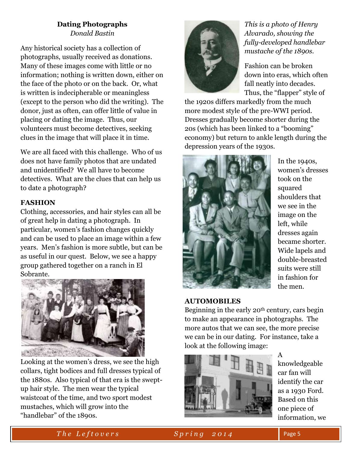## **Dating Photographs** *Donald Bastin*

Any historical society has a collection of photographs, usually received as donations. Many of these images come with little or no information; nothing is written down, either on the face of the photo or on the back. Or, what is written is indecipherable or meaningless (except to the person who did the writing). The donor, just as often, can offer little of value in placing or dating the image. Thus, our volunteers must become detectives, seeking clues in the image that will place it in time.

We are all faced with this challenge. Who of us does not have family photos that are undated and unidentified? We all have to become detectives. What are the clues that can help us to date a photograph?

## **FASHION**

Clothing, accessories, and hair styles can all be of great help in dating a photograph. In particular, women's fashion changes quickly and can be used to place an image within a few years. Men's fashion is more subtle, but can be as useful in our quest. Below, we see a happy group gathered together on a ranch in El Sobrante.



Looking at the women's dress, we see the high collars, tight bodices and full dresses typical of the 1880s. Also typical of that era is the sweptup hair style. The men wear the typical waistcoat of the time, and two sport modest mustaches, which will grow into the "handlebar" of the 1890s.



*This is a photo of Henry Alvarado, showing the fully-developed handlebar mustache of the 1890s.*

Fashion can be broken down into eras, which often fall neatly into decades. Thus, the "flapper" style of

the 1920s differs markedly from the much more modest style of the pre-WWI period. Dresses gradually become shorter during the 20s (which has been linked to a "booming" economy) but return to ankle length during the depression years of the 1930s.



In the 1940s, women's dresses took on the squared shoulders that we see in the image on the left, while dresses again became shorter. Wide lapels and double-breasted suits were still in fashion for the men.

## **AUTOMOBILES**

Beginning in the early 20th century, cars begin to make an appearance in photographs. The more autos that we can see, the more precise we can be in our dating. For instance, take a look at the following image:



A knowledgeable car fan will identify the car as a 1930 Ford. Based on this one piece of information, we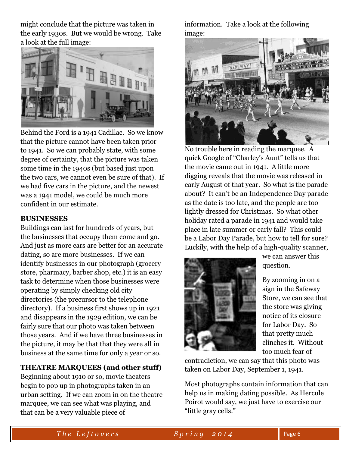might conclude that the picture was taken in the early 1930s. But we would be wrong. Take a look at the full image:



Behind the Ford is a 1941 Cadillac. So we know that the picture cannot have been taken prior to 1941. So we can probably state, with some degree of certainty, that the picture was taken some time in the 1940s (but based just upon the two cars, we cannot even be sure of that). If we had five cars in the picture, and the newest was a 1941 model, we could be much more confident in our estimate.

#### **BUSINESSES**

Buildings can last for hundreds of years, but the businesses that occupy them come and go. And just as more cars are better for an accurate dating, so are more businesses. If we can identify businesses in our photograph (grocery store, pharmacy, barber shop, etc.) it is an easy task to determine when those businesses were operating by simply checking old city directories (the precursor to the telephone directory). If a business first shows up in 1921 and disappears in the 1929 edition, we can be fairly sure that our photo was taken between those years. And if we have three businesses in the picture, it may be that that they were all in business at the same time for only a year or so.

#### **THEATRE MARQUEES (and other stuff)**

Beginning about 1910 or so, movie theaters begin to pop up in photographs taken in an urban setting. If we can zoom in on the theatre marquee, we can see what was playing, and that can be a very valuable piece of

information. Take a look at the following image:



No trouble here in reading the marquee. A quick Google of "Charley's Aunt" tells us that the movie came out in 1941. A little more digging reveals that the movie was released in early August of that year. So what is the parade about? It can't be an Independence Day parade as the date is too late, and the people are too lightly dressed for Christmas. So what other holiday rated a parade in 1941 and would take place in late summer or early fall? This could be a Labor Day Parade, but how to tell for sure? Luckily, with the help of a high-quality scanner,



we can answer this question.

By zooming in on a sign in the Safeway Store, we can see that the store was giving notice of its closure for Labor Day. So that pretty much clinches it. Without too much fear of

contradiction, we can say that this photo was taken on Labor Day, September 1, 1941.

Most photographs contain information that can help us in making dating possible. As Hercule Poirot would say, we just have to exercise our "little gray cells."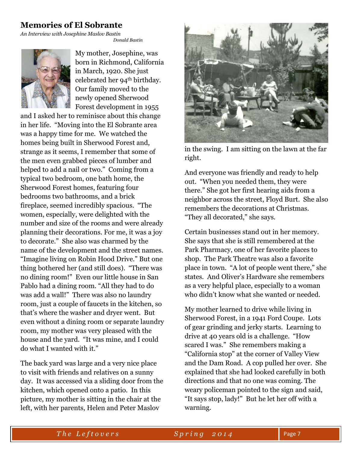# **Memories of El Sobrante**

*An Interview with Josephine Maslov Bastin*

 *Donald Bastin*



My mother, Josephine, was born in Richmond, California in March, 1920. She just celebrated her 94th birthday. Our family moved to the newly opened Sherwood Forest development in 1955

and I asked her to reminisce about this change in her life. "Moving into the El Sobrante area was a happy time for me. We watched the homes being built in Sherwood Forest and, strange as it seems, I remember that some of the men even grabbed pieces of lumber and helped to add a nail or two." Coming from a typical two bedroom, one bath home, the Sherwood Forest homes, featuring four bedrooms two bathrooms, and a brick fireplace, seemed incredibly spacious. "The women, especially, were delighted with the number and size of the rooms and were already planning their decorations. For me, it was a joy to decorate." She also was charmed by the name of the development and the street names. "Imagine living on Robin Hood Drive." But one thing bothered her (and still does). "There was no dining room!" Even our little house in San Pablo had a dining room. "All they had to do was add a wall!" There was also no laundry room, just a couple of faucets in the kitchen, so that's where the washer and dryer went. But even without a dining room or separate laundry room, my mother was very pleased with the house and the yard. "It was mine, and I could do what I wanted with it."

The back yard was large and a very nice place to visit with friends and relatives on a sunny day. It was accessed via a sliding door from the kitchen, which opened onto a patio. In this picture, my mother is sitting in the chair at the left, with her parents, Helen and Peter Maslov



in the swing. I am sitting on the lawn at the far right.

And everyone was friendly and ready to help out. "When you needed them, they were there." She got her first hearing aids from a neighbor across the street, Floyd Burt. She also remembers the decorations at Christmas. "They all decorated," she says.

Certain businesses stand out in her memory. She says that she is still remembered at the Park Pharmacy, one of her favorite places to shop. The Park Theatre was also a favorite place in town. "A lot of people went there," she states. And Oliver's Hardware she remembers as a very helpful place, especially to a woman who didn't know what she wanted or needed.

My mother learned to drive while living in Sherwood Forest, in a 1941 Ford Coupe. Lots of gear grinding and jerky starts. Learning to drive at 40 years old is a challenge. "How scared I was." She remembers making a "California stop" at the corner of Valley View and the Dam Road. A cop pulled her over. She explained that she had looked carefully in both directions and that no one was coming. The weary policeman pointed to the sign and said, "It says stop, lady!" But he let her off with a warning.